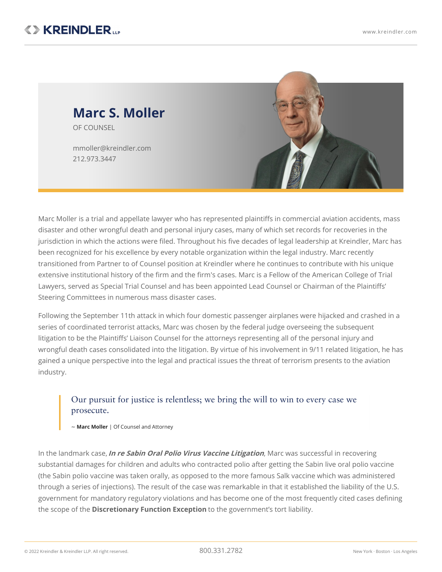

Marc Moller is a trial and appellate lawyer who has represented plaintiffs in commercial aviation accidents, mass disaster and other wrongful death and personal injury cases, many of which set records for recoveries in the jurisdiction in which the actions were filed. Throughout his five decades of legal leadership at Kreindler, Marc has been recognized for his excellence by every notable organization within the legal industry. Marc recently transitioned from Partner to of Counsel position at Kreindler where he continues to contribute with his unique extensive institutional history of the firm and the firm's cases. Marc is a Fellow of the American College of Trial Lawyers, served as Special Trial Counsel and has been appointed Lead Counsel or Chairman of the Plaintiffs' Steering Committees in numerous mass disaster cases.

Following the September 11th attack in which four domestic passenger airplanes were hijacked and crashed in a series of coordinated terrorist attacks, Marc was chosen by the federal judge overseeing the subsequent litigation to be the Plaintiffs' Liaison Counsel for the attorneys representing all of the personal injury and wrongful death cases consolidated into the litigation. By virtue of his involvement in 9/11 related [litigation](https://www.kreindler.com/articles/the-9-11-tort-litigation-five-years-on), he has gained a unique perspective into the legal and practical issues the threat of terrorism presents to the aviation industry.

# Our pursuit for justice is relentless; we bring the will to win to every case we prosecute.

~ **Marc Moller** | Of Counsel and Attorney

In the landmark case,**In re Sabin Oral Polio Virus Vaccine [Litigation](https://www.kreindler.com/cases/fda-liable-for-polio-vaccine)**, Marc was successful in recovering substantial damages for children and adults who contracted polio after getting the Sabin live oral polio vaccine (the Sabin polio vaccine was taken orally, as opposed to the more famous Salk vaccine which was administered through a series of injections). The result of the case was remarkable in that it established the liability of the U.S. government for mandatory regulatory violations and has become one of the most frequently cited cases defining the scope of the **[Discretionary](https://www.kreindler.com/library/discretionary-function) Function Exception** to the government's tort liability.